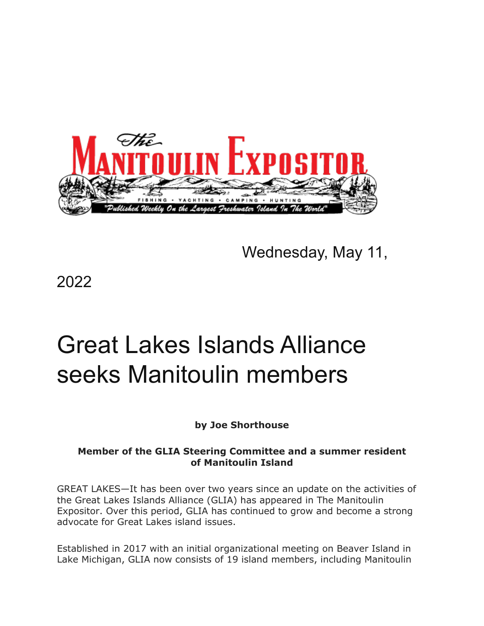

Wednesday, May 11,

2022

# Great Lakes Islands Alliance seeks Manitoulin members

# **by Joe Shorthouse**

## **Member of the GLIA Steering Committee and a summer resident of Manitoulin Island**

GREAT LAKES—It has been over two years since an update on the activities of the Great Lakes Islands Alliance (GLIA) has appeared in The Manitoulin Expositor. Over this period, GLIA has continued to grow and become a strong advocate for Great Lakes island issues.

Established in 2017 with an initial organizational meeting on Beaver Island in Lake Michigan, GLIA now consists of 19 island members, including Manitoulin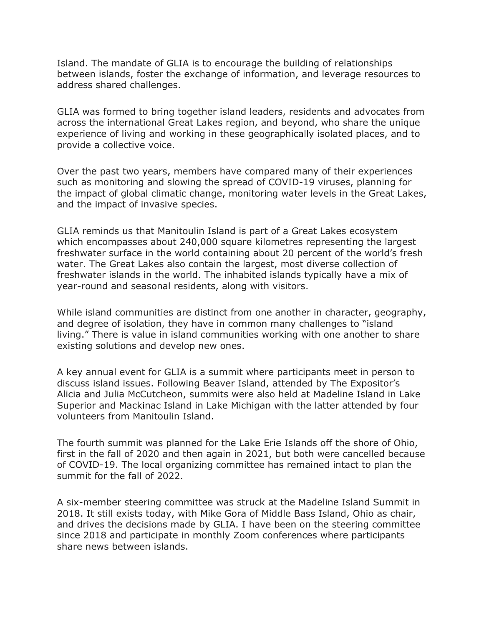Island. The mandate of GLIA is to encourage the building of relationships between islands, foster the exchange of information, and leverage resources to address shared challenges.

GLIA was formed to bring together island leaders, residents and advocates from across the international Great Lakes region, and beyond, who share the unique experience of living and working in these geographically isolated places, and to provide a collective voice.

Over the past two years, members have compared many of their experiences such as monitoring and slowing the spread of COVID-19 viruses, planning for the impact of global climatic change, monitoring water levels in the Great Lakes, and the impact of invasive species.

GLIA reminds us that Manitoulin Island is part of a Great Lakes ecosystem which encompasses about 240,000 square kilometres representing the largest freshwater surface in the world containing about 20 percent of the world's fresh water. The Great Lakes also contain the largest, most diverse collection of freshwater islands in the world. The inhabited islands typically have a mix of year-round and seasonal residents, along with visitors.

While island communities are distinct from one another in character, geography, and degree of isolation, they have in common many challenges to "island living." There is value in island communities working with one another to share existing solutions and develop new ones.

A key annual event for GLIA is a summit where participants meet in person to discuss island issues. Following Beaver Island, attended by The Expositor's Alicia and Julia McCutcheon, summits were also held at Madeline Island in Lake Superior and Mackinac Island in Lake Michigan with the latter attended by four volunteers from Manitoulin Island.

The fourth summit was planned for the Lake Erie Islands off the shore of Ohio, first in the fall of 2020 and then again in 2021, but both were cancelled because of COVID-19. The local organizing committee has remained intact to plan the summit for the fall of 2022.

A six-member steering committee was struck at the Madeline Island Summit in 2018. It still exists today, with Mike Gora of Middle Bass Island, Ohio as chair, and drives the decisions made by GLIA. I have been on the steering committee since 2018 and participate in monthly Zoom conferences where participants share news between islands.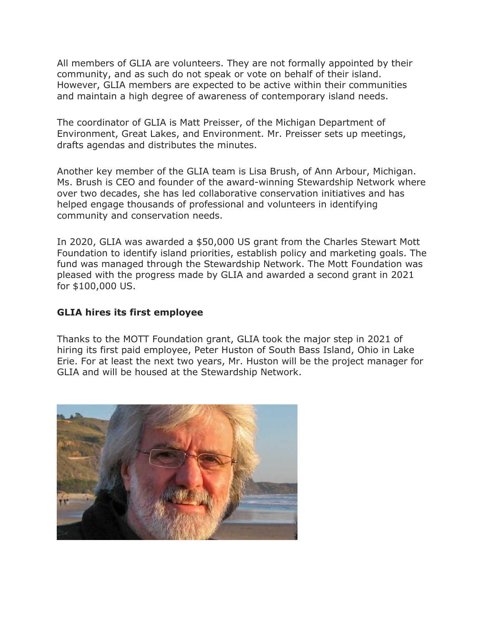All members of GLIA are volunteers. They are not formally appointed by their community, and as such do not speak or vote on behalf of their island. However, GLIA members are expected to be active within their communities and maintain a high degree of awareness of contemporary island needs.

The coordinator of GLIA is Matt Preisser, of the Michigan Department of Environment, Great Lakes, and Environment. Mr. Preisser sets up meetings, drafts agendas and distributes the minutes.

Another key member of the GLIA team is Lisa Brush, of Ann Arbour, Michigan. Ms. Brush is CEO and founder of the award-winning Stewardship Network where over two decades, she has led collaborative conservation initiatives and has helped engage thousands of professional and volunteers in identifying community and conservation needs.

In 2020, GLIA was awarded a \$50,000 US grant from the Charles Stewart Mott Foundation to identify island priorities, establish policy and marketing goals. The fund was managed through the Stewardship Network. The Mott Foundation was pleased with the progress made by GLIA and awarded a second grant in 2021 for \$100,000 US.

#### **GLIA hires its first employee**

Thanks to the MOTT Foundation grant, GLIA took the major step in 2021 of hiring its first paid employee, Peter Huston of South Bass Island, Ohio in Lake Erie. For at least the next two years, Mr. Huston will be the project manager for GLIA and will be housed at the Stewardship Network.

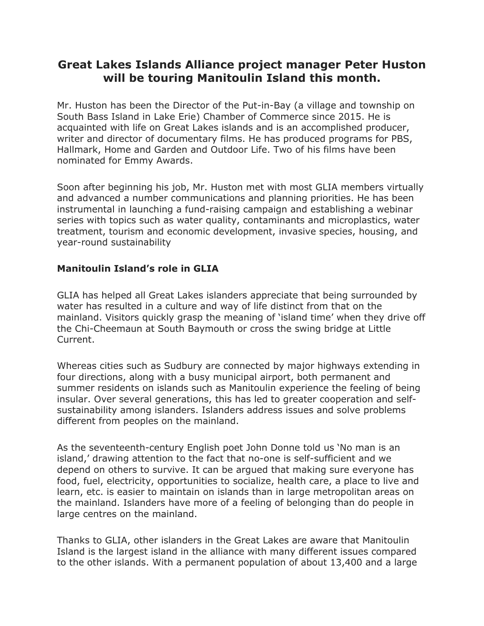# **Great Lakes Islands Alliance project manager Peter Huston will be touring Manitoulin Island this month.**

Mr. Huston has been the Director of the Put-in-Bay (a village and township on South Bass Island in Lake Erie) Chamber of Commerce since 2015. He is acquainted with life on Great Lakes islands and is an accomplished producer, writer and director of documentary films. He has produced programs for PBS, Hallmark, Home and Garden and Outdoor Life. Two of his films have been nominated for Emmy Awards.

Soon after beginning his job, Mr. Huston met with most GLIA members virtually and advanced a number communications and planning priorities. He has been instrumental in launching a fund-raising campaign and establishing a webinar series with topics such as water quality, contaminants and microplastics, water treatment, tourism and economic development, invasive species, housing, and year-round sustainability

## **Manitoulin Island's role in GLIA**

GLIA has helped all Great Lakes islanders appreciate that being surrounded by water has resulted in a culture and way of life distinct from that on the mainland. Visitors quickly grasp the meaning of 'island time' when they drive off the Chi-Cheemaun at South Baymouth or cross the swing bridge at Little Current.

Whereas cities such as Sudbury are connected by major highways extending in four directions, along with a busy municipal airport, both permanent and summer residents on islands such as Manitoulin experience the feeling of being insular. Over several generations, this has led to greater cooperation and selfsustainability among islanders. Islanders address issues and solve problems different from peoples on the mainland.

As the seventeenth-century English poet John Donne told us 'No man is an island,' drawing attention to the fact that no-one is self-sufficient and we depend on others to survive. It can be argued that making sure everyone has food, fuel, electricity, opportunities to socialize, health care, a place to live and learn, etc. is easier to maintain on islands than in large metropolitan areas on the mainland. Islanders have more of a feeling of belonging than do people in large centres on the mainland.

Thanks to GLIA, other islanders in the Great Lakes are aware that Manitoulin Island is the largest island in the alliance with many different issues compared to the other islands. With a permanent population of about 13,400 and a large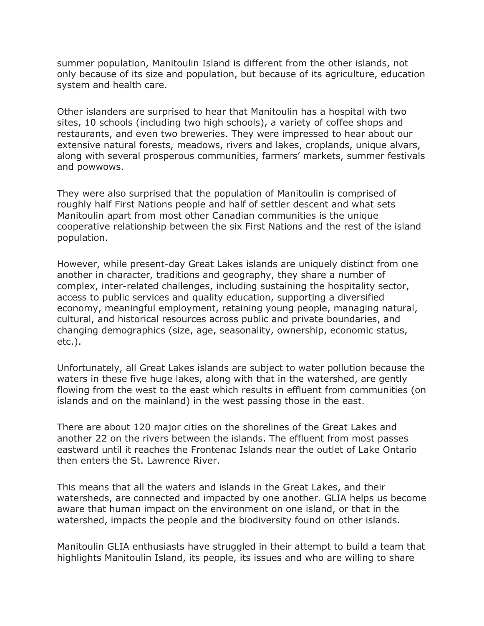summer population, Manitoulin Island is different from the other islands, not only because of its size and population, but because of its agriculture, education system and health care.

Other islanders are surprised to hear that Manitoulin has a hospital with two sites, 10 schools (including two high schools), a variety of coffee shops and restaurants, and even two breweries. They were impressed to hear about our extensive natural forests, meadows, rivers and lakes, croplands, unique alvars, along with several prosperous communities, farmers' markets, summer festivals and powwows.

They were also surprised that the population of Manitoulin is comprised of roughly half First Nations people and half of settler descent and what sets Manitoulin apart from most other Canadian communities is the unique cooperative relationship between the six First Nations and the rest of the island population.

However, while present-day Great Lakes islands are uniquely distinct from one another in character, traditions and geography, they share a number of complex, inter-related challenges, including sustaining the hospitality sector, access to public services and quality education, supporting a diversified economy, meaningful employment, retaining young people, managing natural, cultural, and historical resources across public and private boundaries, and changing demographics (size, age, seasonality, ownership, economic status, etc.).

Unfortunately, all Great Lakes islands are subject to water pollution because the waters in these five huge lakes, along with that in the watershed, are gently flowing from the west to the east which results in effluent from communities (on islands and on the mainland) in the west passing those in the east.

There are about 120 major cities on the shorelines of the Great Lakes and another 22 on the rivers between the islands. The effluent from most passes eastward until it reaches the Frontenac Islands near the outlet of Lake Ontario then enters the St. Lawrence River.

This means that all the waters and islands in the Great Lakes, and their watersheds, are connected and impacted by one another. GLIA helps us become aware that human impact on the environment on one island, or that in the watershed, impacts the people and the biodiversity found on other islands.

Manitoulin GLIA enthusiasts have struggled in their attempt to build a team that highlights Manitoulin Island, its people, its issues and who are willing to share